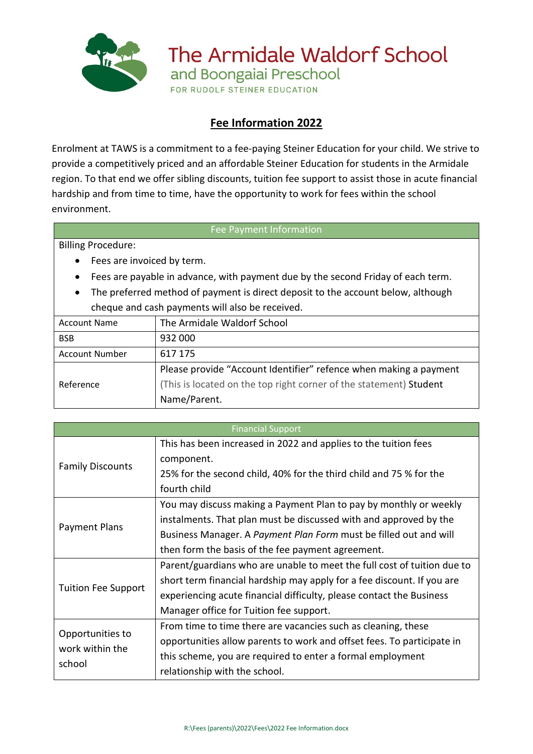

The Armidale Waldorf School and Boongaiai Preschool

FOR RUDOLF STEINER EDUCATION

## **Fee Information 2022**

Enrolment at TAWS is a commitment to a fee-paying Steiner Education for your child. We strive to provide a competitively priced and an affordable Steiner Education for students in the Armidale region. To that end we offer sibling discounts, tuition fee support to assist those in acute financial hardship and from time to time, have the opportunity to work for fees within the school environment.

## Fee Payment Information

Billing Procedure:

- Fees are invoiced by term.
- Fees are payable in advance, with payment due by the second Friday of each term.
- The preferred method of payment is direct deposit to the account below, although cheque and cash payments will also be received.

| <b>Account Name</b>   | The Armidale Waldorf School                                        |
|-----------------------|--------------------------------------------------------------------|
| <b>BSB</b>            | 932 000                                                            |
| <b>Account Number</b> | 617 175                                                            |
| Reference             | Please provide "Account Identifier" refence when making a payment  |
|                       | (This is located on the top right corner of the statement) Student |
|                       | Name/Parent.                                                       |
|                       |                                                                    |

| <b>Financial Support</b>                      |                                                                         |  |
|-----------------------------------------------|-------------------------------------------------------------------------|--|
| <b>Family Discounts</b>                       | This has been increased in 2022 and applies to the tuition fees         |  |
|                                               | component.                                                              |  |
|                                               | 25% for the second child, 40% for the third child and 75 % for the      |  |
|                                               | fourth child                                                            |  |
| Payment Plans                                 | You may discuss making a Payment Plan to pay by monthly or weekly       |  |
|                                               | instalments. That plan must be discussed with and approved by the       |  |
|                                               | Business Manager. A Payment Plan Form must be filled out and will       |  |
|                                               | then form the basis of the fee payment agreement.                       |  |
| <b>Tuition Fee Support</b>                    | Parent/guardians who are unable to meet the full cost of tuition due to |  |
|                                               | short term financial hardship may apply for a fee discount. If you are  |  |
|                                               | experiencing acute financial difficulty, please contact the Business    |  |
|                                               | Manager office for Tuition fee support.                                 |  |
| Opportunities to<br>work within the<br>school | From time to time there are vacancies such as cleaning, these           |  |
|                                               | opportunities allow parents to work and offset fees. To participate in  |  |
|                                               | this scheme, you are required to enter a formal employment              |  |
|                                               | relationship with the school.                                           |  |